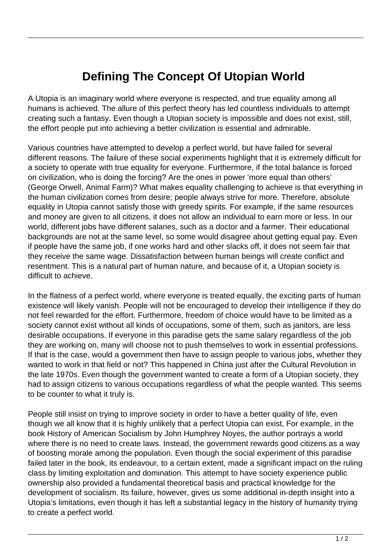## **Defining The Concept Of Utopian World**

A Utopia is an imaginary world where everyone is respected, and true equality among all humans is achieved. The allure of this perfect theory has led countless individuals to attempt creating such a fantasy. Even though a Utopian society is impossible and does not exist, still, the effort people put into achieving a better civilization is essential and admirable.

Various countries have attempted to develop a perfect world, but have failed for several different reasons. The failure of these social experiments highlight that it is extremely difficult for a society to operate with true equality for everyone. Furthermore, if the total balance is forced on civilization, who is doing the forcing? Are the ones in power 'more equal than others' (George Orwell, Animal Farm)? What makes equality challenging to achieve is that everything in the human civilization comes from desire; people always strive for more. Therefore, absolute equality in Utopia cannot satisfy those with greedy spirits. For example, if the same resources and money are given to all citizens, it does not allow an individual to earn more or less. In our world, different jobs have different salaries, such as a doctor and a farmer. Their educational backgrounds are not at the same level, so some would disagree about getting equal pay. Even if people have the same job, if one works hard and other slacks off, it does not seem fair that they receive the same wage. Dissatisfaction between human beings will create conflict and resentment. This is a natural part of human nature, and because of it, a Utopian society is difficult to achieve.

In the flatness of a perfect world, where everyone is treated equally, the exciting parts of human existence will likely vanish. People will not be encouraged to develop their intelligence if they do not feel rewarded for the effort. Furthermore, freedom of choice would have to be limited as a society cannot exist without all kinds of occupations, some of them, such as janitors, are less desirable occupations. If everyone in this paradise gets the same salary regardless of the job they are working on, many will choose not to push themselves to work in essential professions. If that is the case, would a government then have to assign people to various jobs, whether they wanted to work in that field or not? This happened in China just after the Cultural Revolution in the late 1970s. Even though the government wanted to create a form of a Utopian society, they had to assign citizens to various occupations regardless of what the people wanted. This seems to be counter to what it truly is.

People still insist on trying to improve society in order to have a better quality of life, even though we all know that it is highly unlikely that a perfect Utopia can exist, For example, in the book History of American Socialism by John Humphrey Noyes, the author portrays a world where there is no need to create laws. Instead, the government rewards good citizens as a way of boosting morale among the population. Even though the social experiment of this paradise failed later in the book, its endeavour, to a certain extent, made a significant impact on the ruling class by limiting exploitation and domination. This attempt to have society experience public ownership also provided a fundamental theoretical basis and practical knowledge for the development of socialism. Its failure, however, gives us some additional in-depth insight into a Utopia's limitations, even though it has left a substantial legacy in the history of humanity trying to create a perfect world.